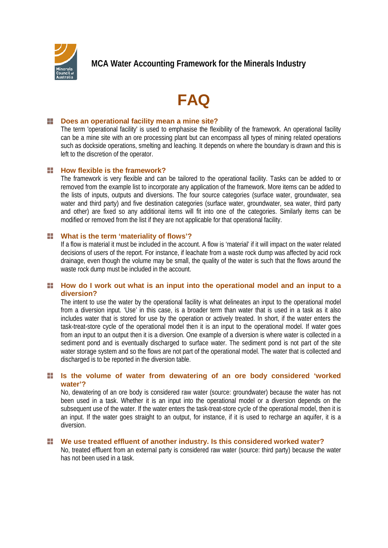

# **FAQ**

#### **Paramele Strucks** Does an operational facility mean a mine site?

The term 'operational facility' is used to emphasise the flexibility of the framework. An operational facility can be a mine site with an ore processing plant but can encompass all types of mining related operations such as dockside operations, smelting and leaching. It depends on where the boundary is drawn and this is left to the discretion of the operator.

## **Heta** How flexible is the framework?

The framework is very flexible and can be tailored to the operational facility. Tasks can be added to or removed from the example list to incorporate any application of the framework. More items can be added to the lists of inputs, outputs and diversions. The four source categories (surface water, groundwater, sea water and third party) and five destination categories (surface water, groundwater, sea water, third party and other) are fixed so any additional items will fit into one of the categories. Similarly items can be modified or removed from the list if they are not applicable for that operational facility.

#### - 1 **What is the term 'materiality of flows'?**

If a flow is material it must be included in the account. A flow is 'material' if it will impact on the water related decisions of users of the report. For instance, if leachate from a waste rock dump was affected by acid rock drainage, even though the volume may be small, the quality of the water is such that the flows around the waste rock dump must be included in the account.

## **How do I work out what is an input into the operational model and an input to a diversion?**

The intent to use the water by the operational facility is what delineates an input to the operational model from a diversion input. 'Use' in this case, is a broader term than water that is used in a task as it also includes water that is stored for use by the operation or actively treated. In short, if the water enters the task-treat-store cycle of the operational model then it is an input to the operational model. If water goes from an input to an output then it is a diversion. One example of a diversion is where water is collected in a sediment pond and is eventually discharged to surface water. The sediment pond is not part of the site water storage system and so the flows are not part of the operational model. The water that is collected and discharged is to be reported in the diversion table.

# **Is the volume of water from dewatering of an ore body considered 'worked water'?**

No, dewatering of an ore body is considered raw water (source: groundwater) because the water has not been used in a task. Whether it is an input into the operational model or a diversion depends on the subsequent use of the water. If the water enters the task-treat-store cycle of the operational model, then it is an input. If the water goes straight to an output, for instance, if it is used to recharge an aquifer, it is a diversion.

# **We use treated effluent of another industry. Is this considered worked water?**

No, treated effluent from an external party is considered raw water (source: third party) because the water has not been used in a task.